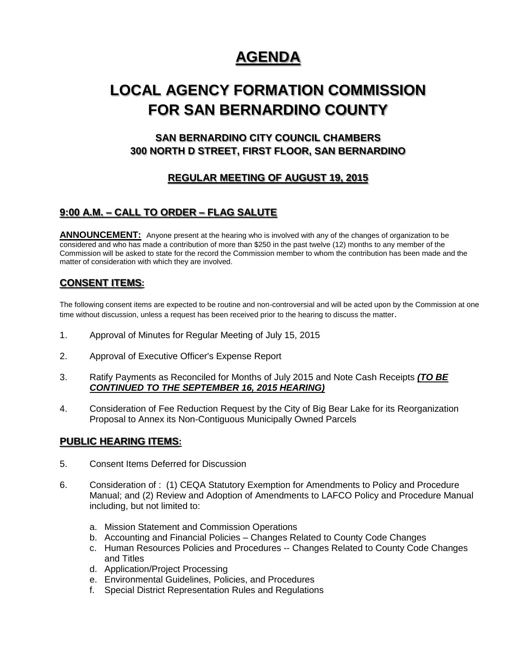# **AGENDA**

# **LOCAL AGENCY FORMATION COMMISSION FOR SAN BERNARDINO COUNTY**

# **SAN BERNARDINO CITY COUNCIL CHAMBERS 300 NORTH D STREET, FIRST FLOOR, SAN BERNARDINO**

# **REGULAR MEETING OF AUGUST 19, 2015**

# **9:00 A.M. – CALL TO ORDER – FLAG SALUTE**

ANNOUNCEMENT: Anyone present at the hearing who is involved with any of the changes of organization to be considered and who has made a contribution of more than \$250 in the past twelve (12) months to any member of the Commission will be asked to state for the record the Commission member to whom the contribution has been made and the matter of consideration with which they are involved.

### **CONSENT ITEMS:**

The following consent items are expected to be routine and non-controversial and will be acted upon by the Commission at one time without discussion, unless a request has been received prior to the hearing to discuss the matter.

- 1. Approval of Minutes for Regular Meeting of July 15, 2015
- 2. Approval of Executive Officer's Expense Report
- 3. Ratify Payments as Reconciled for Months of July 2015 and Note Cash Receipts *(TO BE CONTINUED TO THE SEPTEMBER 16, 2015 HEARING)*
- 4. Consideration of Fee Reduction Request by the City of Big Bear Lake for its Reorganization Proposal to Annex its Non-Contiguous Municipally Owned Parcels

### **PUBLIC HEARING ITEMS:**

- 5. Consent Items Deferred for Discussion
- 6. Consideration of : (1) CEQA Statutory Exemption for Amendments to Policy and Procedure Manual; and (2) Review and Adoption of Amendments to LAFCO Policy and Procedure Manual including, but not limited to:
	- a. Mission Statement and Commission Operations
	- b. Accounting and Financial Policies Changes Related to County Code Changes
	- c. Human Resources Policies and Procedures -- Changes Related to County Code Changes and Titles
	- d. Application/Project Processing
	- e. Environmental Guidelines, Policies, and Procedures
	- f. Special District Representation Rules and Regulations